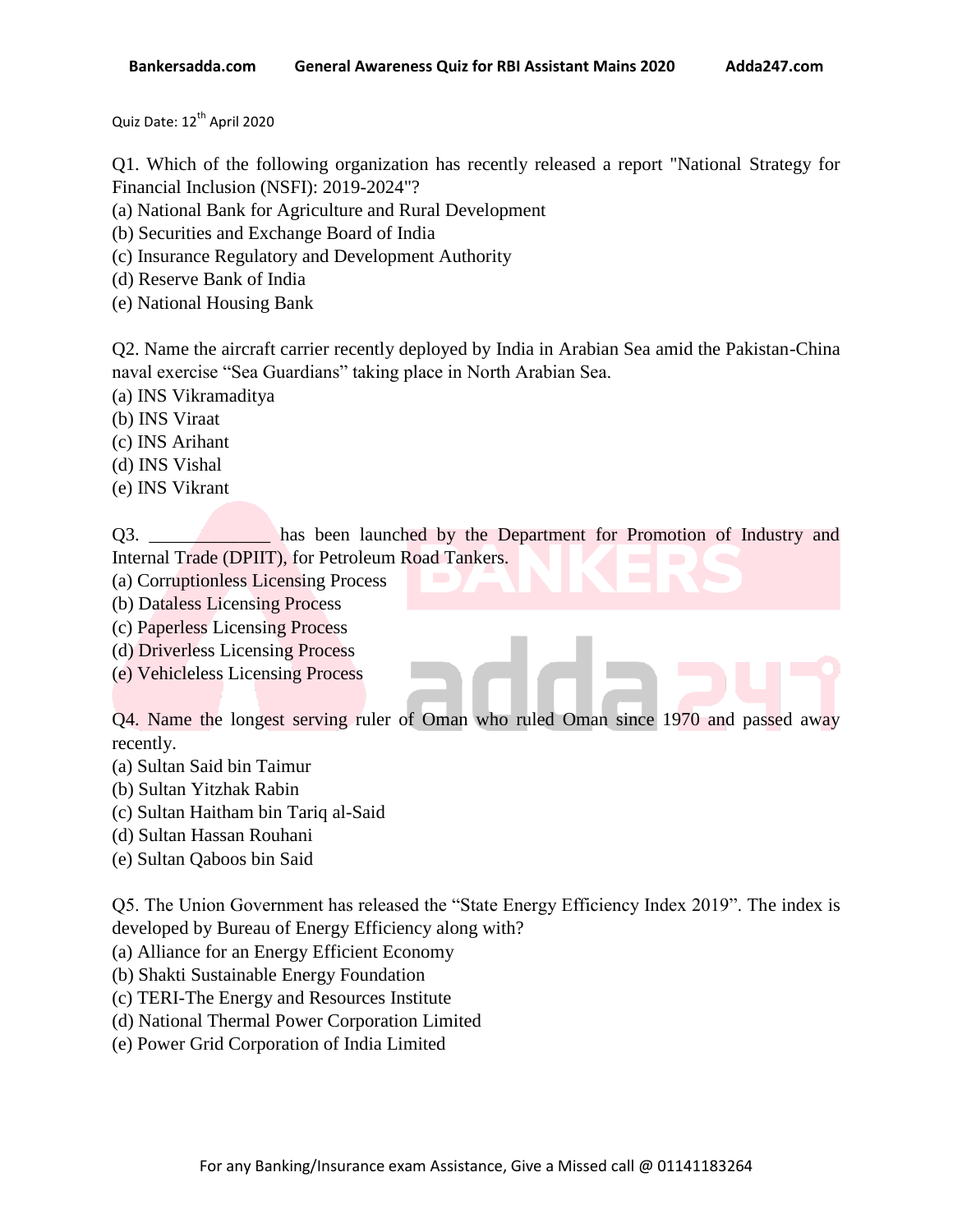Quiz Date: 12<sup>th</sup> April 2020

Q1. Which of the following organization has recently released a report "National Strategy for Financial Inclusion (NSFI): 2019-2024"?

- (a) National Bank for Agriculture and Rural Development
- (b) Securities and Exchange Board of India
- (c) Insurance Regulatory and Development Authority
- (d) Reserve Bank of India
- (e) National Housing Bank

Q2. Name the aircraft carrier recently deployed by India in Arabian Sea amid the Pakistan-China naval exercise "Sea Guardians" taking place in North Arabian Sea.

- (a) INS Vikramaditya
- (b) INS Viraat
- (c) INS Arihant
- (d) INS Vishal
- (e) INS Vikrant

Q3. \_\_\_\_\_\_\_\_\_\_\_\_\_ has been launched by the Department for Promotion of Industry and Internal Trade (DPIIT), for Petroleum Road Tankers.

- (a) Corruptionless Licensing Process
- (b) Dataless Licensing Process
- (c) Paperless Licensing Process
- (d) Driverless Licensing Process
- (e) Vehicleless Licensing Process

Q4. Name the longest serving ruler of Oman who ruled Oman since 1970 and passed away recently.

- (a) Sultan Said bin Taimur
- (b) Sultan Yitzhak Rabin
- (c) Sultan Haitham bin Tariq al-Said
- (d) Sultan Hassan Rouhani
- (e) Sultan Qaboos bin Said

Q5. The Union Government has released the "State Energy Efficiency Index 2019". The index is developed by Bureau of Energy Efficiency along with?

- (a) Alliance for an Energy Efficient Economy
- (b) Shakti Sustainable Energy Foundation
- (c) TERI-The Energy and Resources Institute
- (d) National Thermal Power Corporation Limited
- (e) Power Grid Corporation of India Limited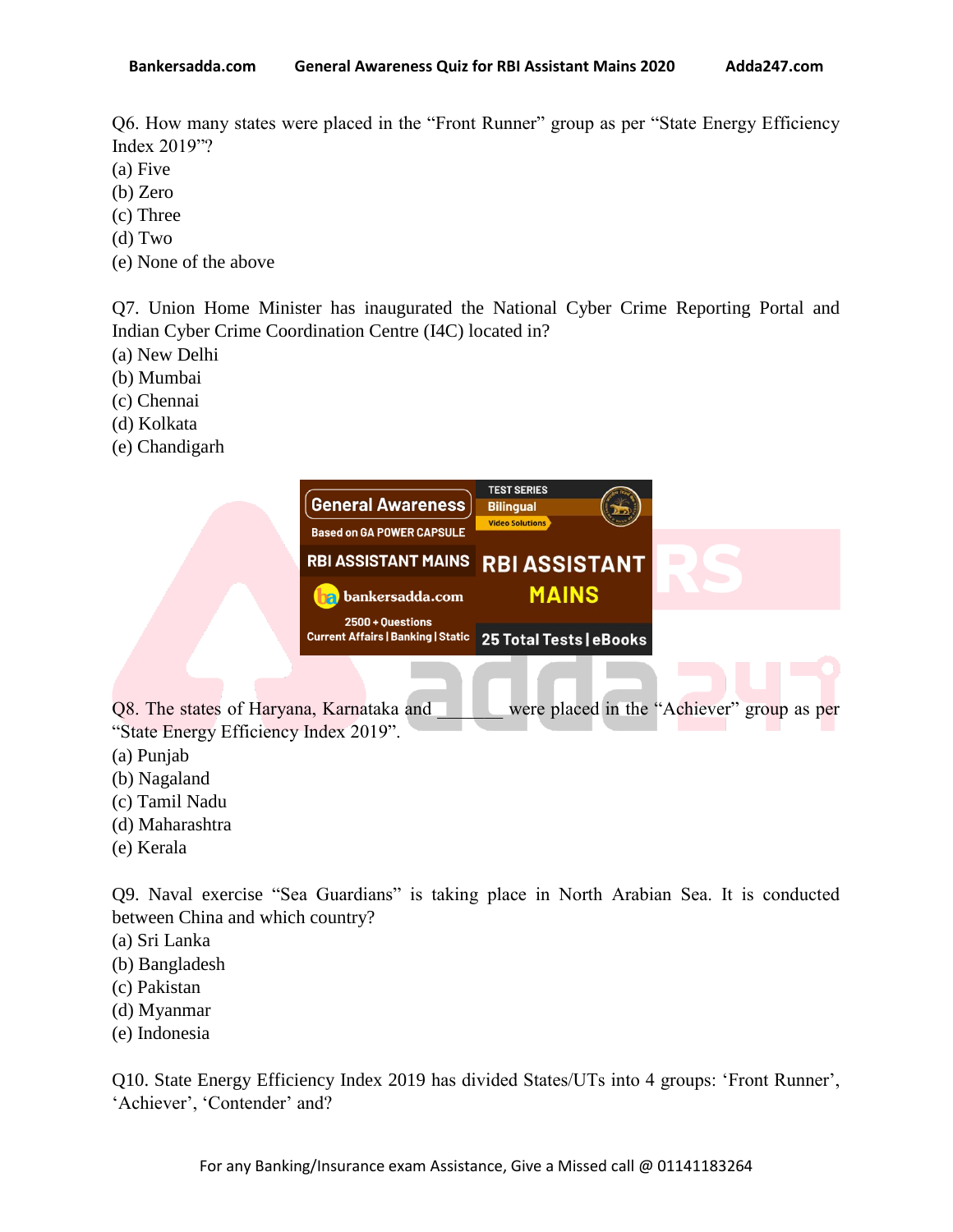Q6. How many states were placed in the "Front Runner" group as per "State Energy Efficiency Index 2019"?

- (a) Five
- (b) Zero
- (c) Three
- (d) Two
- (e) None of the above

Q7. Union Home Minister has inaugurated the National Cyber Crime Reporting Portal and Indian Cyber Crime Coordination Centre (I4C) located in?

- (a) New Delhi
- (b) Mumbai
- (c) Chennai
- (d) Kolkata
- (e) Chandigarh

|                                          | General Awareness<br><b>Based on GA POWER CAPSULE</b>         | <b>TEST SERIES</b><br><b>Bilingual</b><br><b>Video Solutions</b> |                                            |
|------------------------------------------|---------------------------------------------------------------|------------------------------------------------------------------|--------------------------------------------|
|                                          | <b>RBI ASSISTANT MAINS</b>                                    | <b>RBI ASSISTANT</b>                                             |                                            |
|                                          | bankersadda.com<br>яI                                         | <b>MAINS</b>                                                     |                                            |
|                                          | 2500 + Questions<br><b>Current Affairs   Banking   Static</b> | 25 Total Tests   eBooks                                          |                                            |
|                                          |                                                               |                                                                  |                                            |
| Q8. The states of Haryana, Karnataka and |                                                               |                                                                  | were placed in the "Achiever" group as per |
| "State Energy Efficiency Index 2019".    |                                                               |                                                                  |                                            |
| (a) Punjab                               |                                                               |                                                                  |                                            |

- (b) Nagaland
- (c) Tamil Nadu
- (d) Maharashtra
- (e) Kerala

Q9. Naval exercise "Sea Guardians" is taking place in North Arabian Sea. It is conducted between China and which country?

- (a) Sri Lanka
- (b) Bangladesh
- (c) Pakistan
- (d) Myanmar
- (e) Indonesia

Q10. State Energy Efficiency Index 2019 has divided States/UTs into 4 groups: "Front Runner", 'Achiever', 'Contender' and?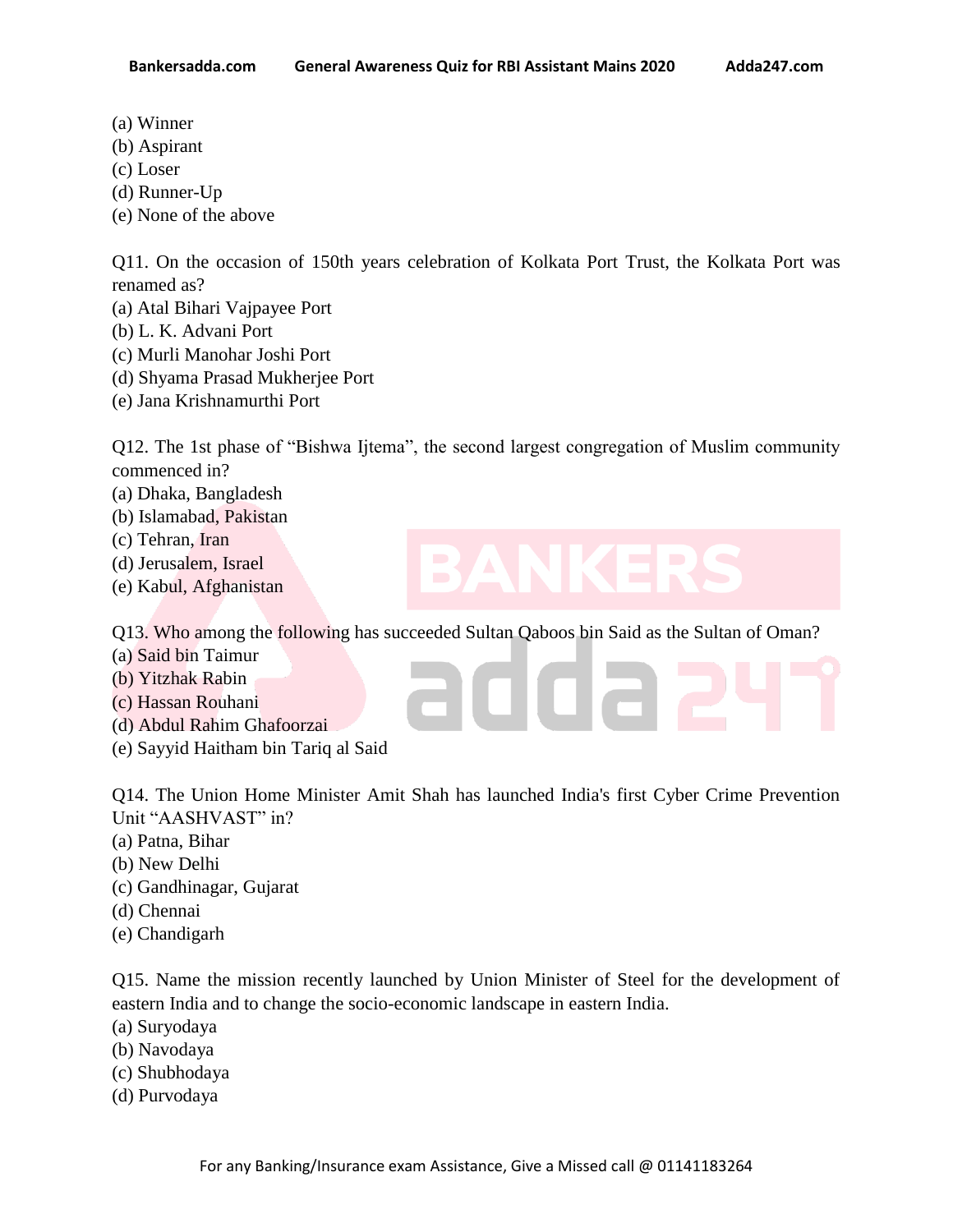- (a) Winner
- (b) Aspirant
- (c) Loser
- (d) Runner-Up
- (e) None of the above

Q11. On the occasion of 150th years celebration of Kolkata Port Trust, the Kolkata Port was renamed as?

- (a) Atal Bihari Vajpayee Port
- (b) L. K. Advani Port
- (c) Murli Manohar Joshi Port
- (d) Shyama Prasad Mukherjee Port
- (e) Jana Krishnamurthi Port

Q12. The 1st phase of "Bishwa Ijtema", the second largest congregation of Muslim community commenced in?

- (a) Dhaka, Bangladesh
- (b) Islamabad, Pakistan
- (c) Tehran, Iran
- (d) Jerusalem, Israel
- (e) Kabul, Afghanistan

Q13. Who among the following has succeeded Sultan Qaboos bin Said as the Sultan of Oman?

- (a) Said bin Taimur
- (b) Yitzhak Rabin
- (c) Hassan Rouhani
- (d) Abdul Rahim Ghafoorzai
- (e) Sayyid Haitham bin Tariq al Said

Q14. The Union Home Minister Amit Shah has launched India's first Cyber Crime Prevention Unit "AASHVAST" in?

**TITLET** 

- (a) Patna, Bihar
- (b) New Delhi
- (c) Gandhinagar, Gujarat
- (d) Chennai
- (e) Chandigarh

Q15. Name the mission recently launched by Union Minister of Steel for the development of eastern India and to change the socio-economic landscape in eastern India.

- (a) Suryodaya
- (b) Navodaya
- (c) Shubhodaya
- (d) Purvodaya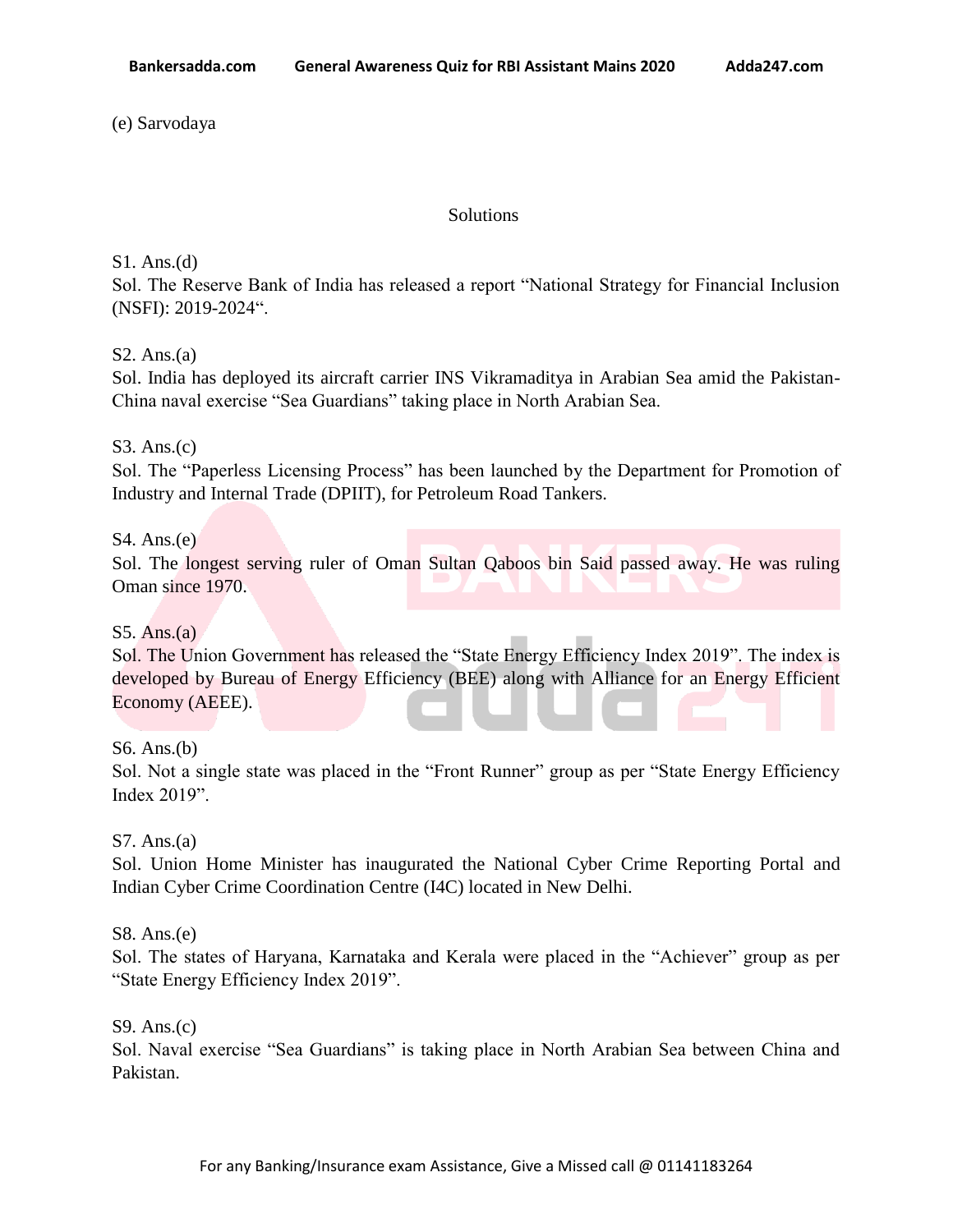(e) Sarvodaya

### **Solutions**

S1. Ans.(d)

Sol. The Reserve Bank of India has released a report "National Strategy for Financial Inclusion (NSFI): 2019-2024".

# S2. Ans.(a)

Sol. India has deployed its aircraft carrier INS Vikramaditya in Arabian Sea amid the Pakistan-China naval exercise "Sea Guardians" taking place in North Arabian Sea.

S3. Ans.(c)

Sol. The "Paperless Licensing Process" has been launched by the Department for Promotion of Industry and Internal Trade (DPIIT), for Petroleum Road Tankers.

# S4. Ans.(e)

Sol. The longest serving ruler of Oman Sultan Qaboos bin Said passed away. He was ruling Oman since 1970.

## S5. Ans. $(a)$

Sol. The Union Government has released the "State Energy Efficiency Index 2019". The index is developed by Bureau of Energy Efficiency (BEE) along with Alliance for an Energy Efficient Economy (AEEE).

S6. Ans.(b)

Sol. Not a single state was placed in the "Front Runner" group as per "State Energy Efficiency Index 2019".

S7. Ans.(a)

Sol. Union Home Minister has inaugurated the National Cyber Crime Reporting Portal and Indian Cyber Crime Coordination Centre (I4C) located in New Delhi.

S8. Ans.(e)

Sol. The states of Haryana, Karnataka and Kerala were placed in the "Achiever" group as per "State Energy Efficiency Index 2019".

S9. Ans.(c)

Sol. Naval exercise "Sea Guardians" is taking place in North Arabian Sea between China and Pakistan.